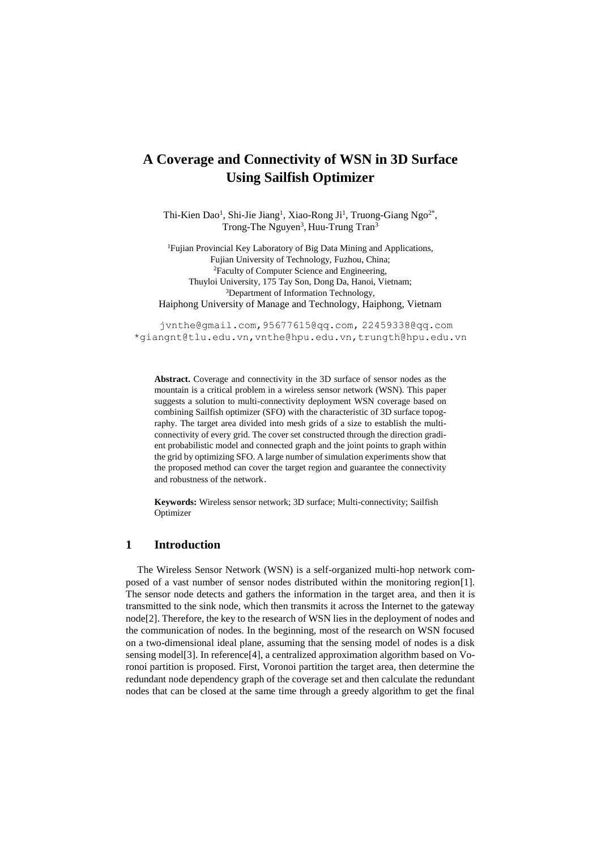# **A Coverage and Connectivity of WSN in 3D Surface Using Sailfish Optimizer**

Thi-Kien Dao<sup>1</sup>, Shi-Jie Jiang<sup>1</sup>, Xiao-Rong Ji<sup>1</sup>, Truong-Giang Ngo<sup>2\*</sup>, Trong-The Nguyen<sup>3</sup>, Huu-Trung Tran<sup>3</sup>

<sup>1</sup>Fujian Provincial Key Laboratory of Big Data Mining and Applications, Fujian University of Technology, Fuzhou, China; <sup>2</sup>Faculty of Computer Science and Engineering, Thuyloi University, 175 Tay Son, Dong Da, Hanoi, Vietnam; <sup>3</sup>Department of Information Technology, Haiphong University of Manage and Technology, Haiphong, Vietnam

jvnthe@gmail.com,95677615@qq.com, 22459338@qq.com \*giangnt@tlu.edu.vn,vnthe@hpu.edu.vn,trungth@hpu.edu.vn

**Abstract.** Coverage and connectivity in the 3D surface of sensor nodes as the mountain is a critical problem in a wireless sensor network (WSN). This paper suggests a solution to multi-connectivity deployment WSN coverage based on combining Sailfish optimizer (SFO) with the characteristic of 3D surface topography. The target area divided into mesh grids of a size to establish the multiconnectivity of every grid. The cover set constructed through the direction gradient probabilistic model and connected graph and the joint points to graph within the grid by optimizing SFO. A large number of simulation experiments show that the proposed method can cover the target region and guarantee the connectivity and robustness of the network.

**Keywords:** Wireless sensor network; 3D surface; Multi-connectivity; Sailfish Optimizer

#### **1 Introduction**

The Wireless Sensor Network (WSN) is a self-organized multi-hop network composed of a vast number of sensor nodes distributed within the monitoring region[1]. The sensor node detects and gathers the information in the target area, and then it is transmitted to the sink node, which then transmits it across the Internet to the gateway node[2]. Therefore, the key to the research of WSN lies in the deployment of nodes and the communication of nodes. In the beginning, most of the research on WSN focused on a two-dimensional ideal plane, assuming that the sensing model of nodes is a disk sensing model[3]. In reference[4], a centralized approximation algorithm based on Voronoi partition is proposed. First, Voronoi partition the target area, then determine the redundant node dependency graph of the coverage set and then calculate the redundant nodes that can be closed at the same time through a greedy algorithm to get the final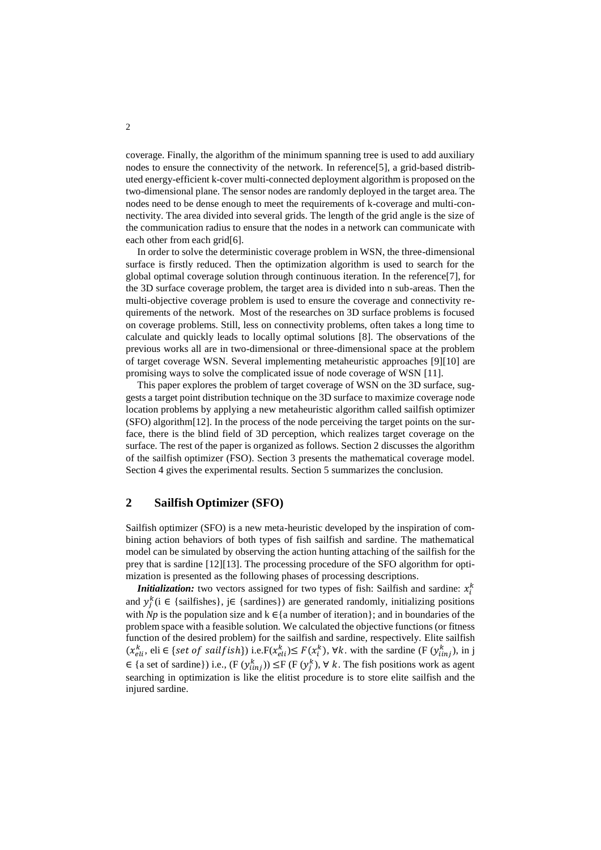coverage. Finally, the algorithm of the minimum spanning tree is used to add auxiliary nodes to ensure the connectivity of the network. In reference [5], a grid-based distributed energy-efficient k-cover multi-connected deployment algorithm is proposed on the two-dimensional plane. The sensor nodes are randomly deployed in the target area. The nodes need to be dense enough to meet the requirements of k-coverage and multi-connectivity. The area divided into several grids. The length of the grid angle is the size of the communication radius to ensure that the nodes in a network can communicate with each other from each grid[6].

In order to solve the deterministic coverage problem in WSN, the three-dimensional surface is firstly reduced. Then the optimization algorithm is used to search for the global optimal coverage solution through continuous iteration. In the reference[7], for the 3D surface coverage problem, the target area is divided into n sub-areas. Then the multi-objective coverage problem is used to ensure the coverage and connectivity requirements of the network. Most of the researches on 3D surface problems is focused on coverage problems. Still, less on connectivity problems, often takes a long time to calculate and quickly leads to locally optimal solutions [8]. The observations of the previous works all are in two-dimensional or three-dimensional space at the problem of target coverage WSN. Several implementing metaheuristic approaches [9][10] are promising ways to solve the complicated issue of node coverage of WSN [11].

This paper explores the problem of target coverage of WSN on the 3D surface, suggests a target point distribution technique on the 3D surface to maximize coverage node location problems by applying a new metaheuristic algorithm called sailfish optimizer (SFO) algorithm[12]. In the process of the node perceiving the target points on the surface, there is the blind field of 3D perception, which realizes target coverage on the surface. The rest of the paper is organized as follows. Section 2 discusses the algorithm of the sailfish optimizer (FSO). Section 3 presents the mathematical coverage model. Section 4 gives the experimental results. Section 5 summarizes the conclusion.

#### **2 Sailfish Optimizer (SFO)**

Sailfish optimizer (SFO) is a new meta-heuristic developed by the inspiration of combining action behaviors of both types of fish sailfish and sardine. The mathematical model can be simulated by observing the action hunting attaching of the sailfish for the prey that is sardine [12][13]. The processing procedure of the SFO algorithm for optimization is presented as the following phases of processing descriptions.

**Initialization:** two vectors assigned for two types of fish: Sailfish and sardine:  $x_i^k$ and  $y_j^k$  (i  $\in$  {sailfishes}, j $\in$  {sardines}) are generated randomly, initializing positions with *Np* is the population size and  $k \in \{a$  number of iteration  $\}$ ; and in boundaries of the problem space with a feasible solution. We calculated the objective functions (or fitness function of the desired problem) for the sailfish and sardine, respectively. Elite sailfish  $(x_{ell}^k, \text{eli} \in \{ \text{set of sailfish} \})$  i.e.  $F(x_{ell}^k) \leq F(x_i^k)$ ,  $\forall k$ . with the sardine  $(F(y_{linj}^k), \text{in } j$ ∈ {a set of sardine}) i.e.,  $(F(y_{iinj}^k))$  ≤F  $(F(y_j^k), \forall k$ . The fish positions work as agent searching in optimization is like the elitist procedure is to store elite sailfish and the injured sardine.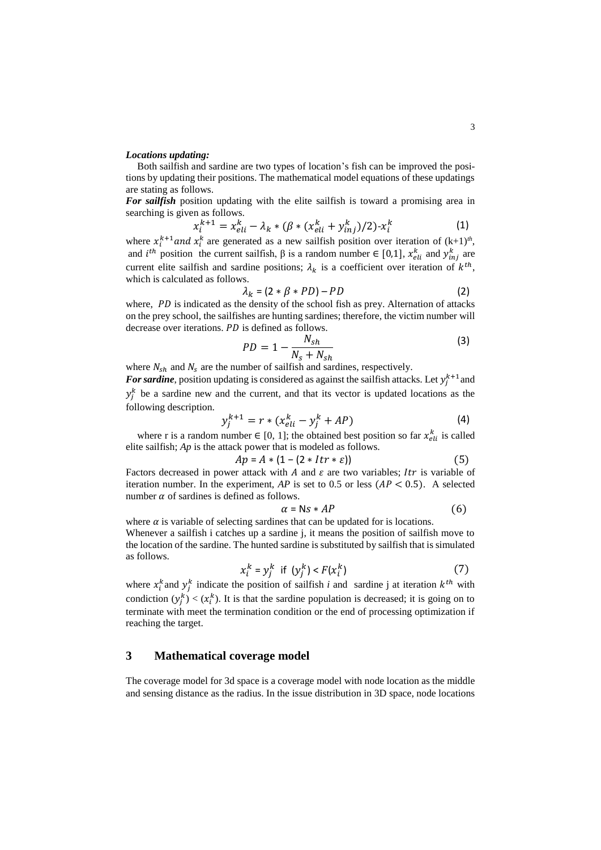#### *Locations updating:*

Both sailfish and sardine are two types of location's fish can be improved the positions by updating their positions. The mathematical model equations of these updatings are stating as follows.

*For sailfish* position updating with the elite sailfish is toward a promising area in searching is given as follows.

$$
x_i^{k+1} = x_{eli}^k - \lambda_k * (\beta * (x_{eli}^k + y_{inj}^k)/2) - x_i^k
$$
 (1)

where  $x_i^{k+1}$  and  $x_i^k$  are generated as a new sailfish position over iteration of  $(k+1)^{th}$ , and  $i^{th}$  position the current sailfish,  $\beta$  is a random number  $\in [0,1]$ ,  $x_{eli}^k$  and  $y_{inj}^k$  are current elite sailfish and sardine positions;  $\lambda_k$  is a coefficient over iteration of  $k^{th}$ , which is calculated as follows.

$$
\lambda_k = (2 * \beta * PD) - PD \tag{2}
$$

where,  $PD$  is indicated as the density of the school fish as prey. Alternation of attacks on the prey school, the sailfishes are hunting sardines; therefore, the victim number will decrease over iterations. *PD* is defined as follows.

$$
PD = 1 - \frac{N_{sh}}{N_s + N_{sh}}
$$
 (3)

where  $N_{sh}$  and  $N_s$  are the number of sailfish and sardines, respectively.

For sardine, position updating is considered as against the sailfish attacks. Let  $y_j^{k+1}$  and  $y_j^k$  be a sardine new and the current, and that its vector is updated locations as the following description.

$$
y_j^{k+1} = r * (x_{eli}^k - y_j^k + AP)
$$
 (4)

where r is a random number  $\in [0, 1]$ ; the obtained best position so far  $x_{eli}^k$  is called elite sailfish; *Ap* is the attack power that is modeled as follows.

$$
Ap = A * (1 - (2 * Itr * \varepsilon))
$$
 (5)

Factors decreased in power attack with A and  $\varepsilon$  are two variables; It is variable of iteration number. In the experiment,  $AP$  is set to 0.5 or less  $(AP < 0.5)$ . A selected number  $\alpha$  of sardines is defined as follows.

$$
\alpha = \mathsf{Ns} * AP \tag{6}
$$

where  $\alpha$  is variable of selecting sardines that can be updated for is locations. Whenever a sailfish i catches up a sardine j, it means the position of sailfish move to the location of the sardine. The hunted sardine is substituted by sailfish that is simulated as follows.

$$
x_i^k = y_j^k \quad \text{if} \quad (y_j^k) < F(x_i^k) \tag{7}
$$

where  $x_i^k$  and  $y_j^k$  indicate the position of sailfish *i* and sardine j at iteration  $k^{th}$  with condiction  $(y_j^k) < (x_i^k)$ . It is that the sardine population is decreased; it is going on to terminate with meet the termination condition or the end of processing optimization if reaching the target.

### **3 Mathematical coverage model**

The coverage model for 3d space is a coverage model with node location as the middle and sensing distance as the radius. In the issue distribution in 3D space, node locations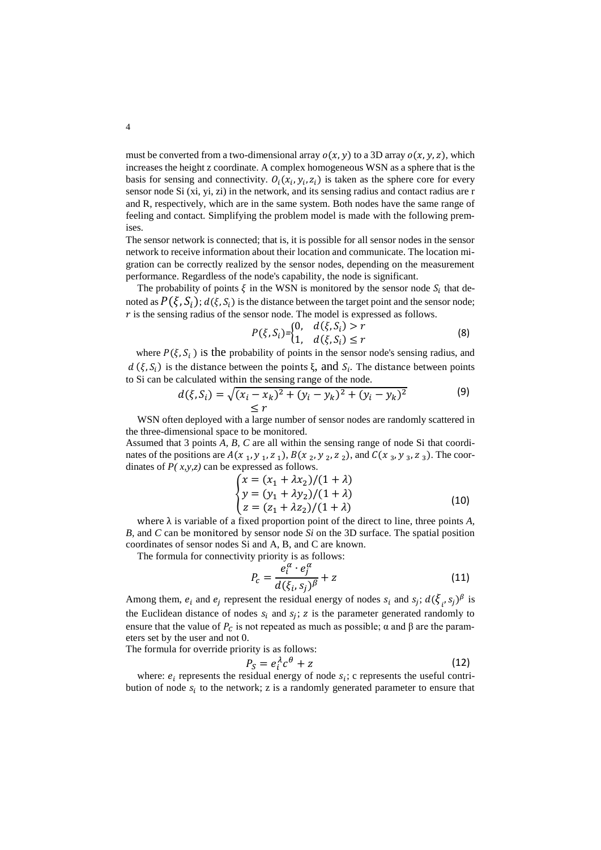must be converted from a two-dimensional array  $o(x, y)$  to a 3D array  $o(x, y, z)$ , which increases the height z coordinate. A complex homogeneous WSN as a sphere that is the basis for sensing and connectivity.  $O_i(x_i, y_i, z_i)$  is taken as the sphere core for every sensor node Si (xi, yi, zi) in the network, and its sensing radius and contact radius are r and R, respectively, which are in the same system. Both nodes have the same range of feeling and contact. Simplifying the problem model is made with the following premises.

The sensor network is connected; that is, it is possible for all sensor nodes in the sensor network to receive information about their location and communicate. The location migration can be correctly realized by the sensor nodes, depending on the measurement performance. Regardless of the node's capability, the node is significant.

The probability of points  $\xi$  in the WSN is monitored by the sensor node  $S_i$  that denoted as  $P(\xi, S_i)$ ;  $d(\xi, S_i)$  is the distance between the target point and the sensor node;  $\dot{r}$  is the sensing radius of the sensor node. The model is expressed as follows.

$$
P(\xi, S_i) = \begin{cases} 0, & d(\xi, S_i) > r \\ 1, & d(\xi, S_i) \le r \end{cases}
$$
 (8)

where  $P(\xi, S_i)$  is the probability of points in the sensor node's sensing radius, and d ( $\xi, S_i$ ) is the distance between the points  $\xi$ , and  $S_i$ . The distance between points to Si can be calculated within the sensing range of the node.

$$
d(\xi, S_i) = \sqrt{(x_i - x_k)^2 + (y_i - y_k)^2 + (y_i - y_k)^2}
$$
(9)

WSN often deployed with a large number of sensor nodes are randomly scattered in the three-dimensional space to be monitored.

Assumed that 3 points *A, B, C* are all within the sensing range of node Si that coordinates of the positions are  $A(x_1, y_1, z_1), B(x_2, y_2, z_2)$ , and  $C(x_3, y_3, z_3)$ . The coordinates of *P( x,y,z)* can be expressed as follows.

$$
\begin{cases}\n x = (x_1 + \lambda x_2)/(1 + \lambda) \\
y = (y_1 + \lambda y_2)/(1 + \lambda) \\
z = (z_1 + \lambda z_2)/(1 + \lambda)\n\end{cases}
$$
\n(10)

where  $\lambda$  is variable of a fixed proportion point of the direct to line, three points  $A$ , *B,* and *C* can be monitored by sensor node *Si* on the 3D surface. The spatial position coordinates of sensor nodes Si and A, B, and C are known.

The formula for connectivity priority is as follows:

$$
P_c = \frac{e_i^{\alpha} \cdot e_j^{\alpha}}{d(\xi_i, s_j)^{\beta}} + z
$$
 (11)

Among them,  $e_i$  and  $e_j$  represent the residual energy of nodes  $s_i$  and  $s_j$ ;  $d(\xi_i, s_j)^{\beta}$  is the Euclidean distance of nodes  $s_i$  and  $s_j$ ; z is the parameter generated randomly to ensure that the value of  $P_c$  is not repeated as much as possible;  $\alpha$  and  $\beta$  are the parameters set by the user and not 0.

The formula for override priority is as follows:

$$
P_S = e_i^{\lambda} c^{\theta} + z \tag{12}
$$

where:  $e_i$  represents the residual energy of node  $s_i$ ; c represents the useful contribution of node  $s_i$  to the network; z is a randomly generated parameter to ensure that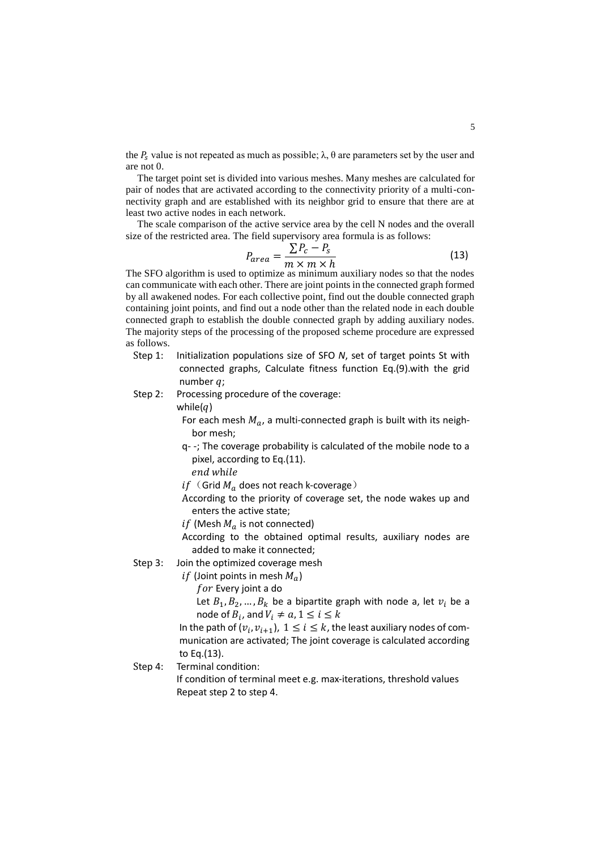the  $P_s$  value is not repeated as much as possible;  $\lambda$ ,  $\theta$  are parameters set by the user and are not 0.

The target point set is divided into various meshes. Many meshes are calculated for pair of nodes that are activated according to the connectivity priority of a multi-connectivity graph and are established with its neighbor grid to ensure that there are at least two active nodes in each network.

The scale comparison of the active service area by the cell N nodes and the overall size of the restricted area. The field supervisory area formula is as follows:

$$
P_{area} = \frac{\sum P_c - P_s}{m \times m \times h}
$$
 (13)

The SFO algorithm is used to optimize as minimum auxiliary nodes so that the nodes can communicate with each other. There are joint points in the connected graph formed by all awakened nodes. For each collective point, find out the double connected graph containing joint points, and find out a node other than the related node in each double connected graph to establish the double connected graph by adding auxiliary nodes. The majority steps of the processing of the proposed scheme procedure are expressed as follows.

- Step 1: Initialization populations size of SFO *N*, set of target points St with connected graphs, Calculate fitness function Eq.(9).with the grid number  $q$ ;
- Step 2: Processing procedure of the coverage:

while $(q)$ 

For each mesh  $M_a$ , a multi-connected graph is built with its neighbor mesh;

- q- -; The coverage probability is calculated of the mobile node to a pixel, according to Eq.(11).
	- end while
- $if$  (Grid  $M_a$  does not reach k-coverage)
- According to the priority of coverage set, the node wakes up and enters the active state;
- if (Mesh  $M_a$  is not connected)
- According to the obtained optimal results, auxiliary nodes are added to make it connected;

Step 3: Join the optimized coverage mesh

*if* (Joint points in mesh  $M_a$ )

 $for$  Every joint a do

Let  $B_1, B_2, ..., B_k$  be a bipartite graph with node a, let  $v_i$  be a node of  $B_i$ , and  $V_i \neq a, 1 \leq i \leq k$ 

In the path of  $(v_i, v_{i+1}), 1 \le i \le k$ , the least auxiliary nodes of communication are activated; The joint coverage is calculated according to Eq.(13).

Step 4: Terminal condition:

If condition of terminal meet e.g. max-iterations, threshold values Repeat step 2 to step 4.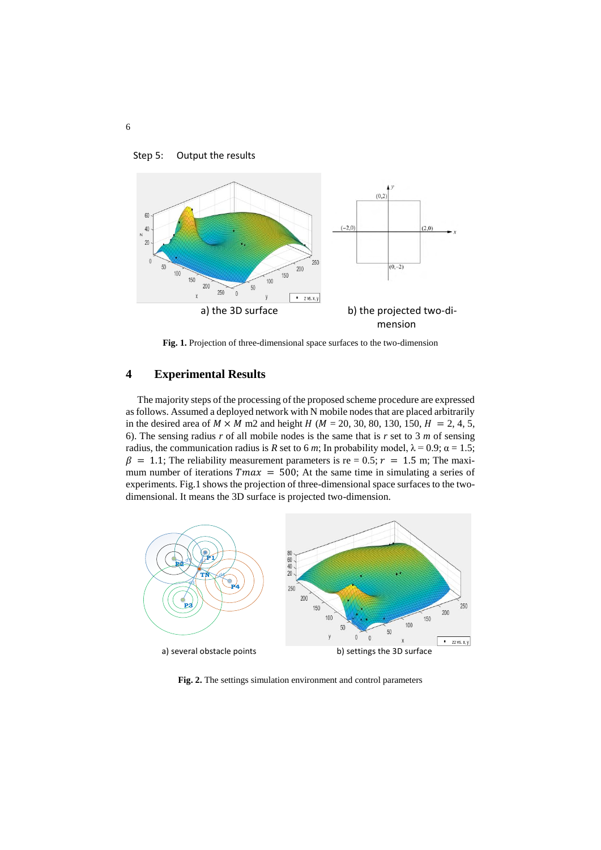

Step 5: Output the results

**Fig. 1.** Projection of three-dimensional space surfaces to the two-dimension

# **4 Experimental Results**

The majority steps of the processing of the proposed scheme procedure are expressed as follows. Assumed a deployed network with N mobile nodes that are placed arbitrarily in the desired area of  $M \times M$  m2 and height  $H (M = 20, 30, 80, 130, 150, H = 2, 4, 5,$ 6). The sensing radius *r* of all mobile nodes is the same that is *r* set to 3 *m* of sensing radius, the communication radius is *R* set to 6 *m*; In probability model,  $\lambda = 0.9$ ;  $\alpha = 1.5$ ;  $\beta = 1.1$ ; The reliability measurement parameters is re = 0.5;  $r = 1.5$  m; The maximum number of iterations  $Tmax = 500$ ; At the same time in simulating a series of experiments. Fig.1 shows the projection of three-dimensional space surfaces to the twodimensional. It means the 3D surface is projected two-dimension.



**Fig. 2.** The settings simulation environment and control parameters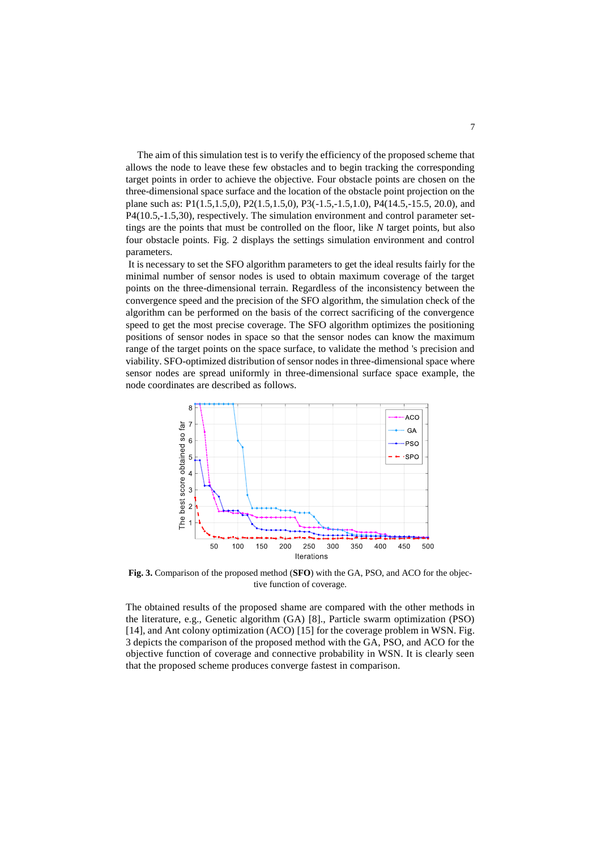The aim of this simulation test is to verify the efficiency of the proposed scheme that allows the node to leave these few obstacles and to begin tracking the corresponding target points in order to achieve the objective. Four obstacle points are chosen on the three-dimensional space surface and the location of the obstacle point projection on the plane such as: P1(1.5,1.5,0), P2(1.5,1.5,0), P3(-1.5,-1.5,1.0), P4(14.5,-15.5, 20.0), and P4(10.5,-1.5,30), respectively. The simulation environment and control parameter settings are the points that must be controlled on the floor, like *N* target points, but also four obstacle points. Fig. 2 displays the settings simulation environment and control parameters.

It is necessary to set the SFO algorithm parameters to get the ideal results fairly for the minimal number of sensor nodes is used to obtain maximum coverage of the target points on the three-dimensional terrain. Regardless of the inconsistency between the convergence speed and the precision of the SFO algorithm, the simulation check of the algorithm can be performed on the basis of the correct sacrificing of the convergence speed to get the most precise coverage. The SFO algorithm optimizes the positioning positions of sensor nodes in space so that the sensor nodes can know the maximum range of the target points on the space surface, to validate the method 's precision and viability. SFO-optimized distribution of sensor nodes in three-dimensional space where sensor nodes are spread uniformly in three-dimensional surface space example, the node coordinates are described as follows.



**Fig. 3.** Comparison of the proposed method (**SFO**) with the GA, PSO, and ACO for the objective function of coverage.

The obtained results of the proposed shame are compared with the other methods in the literature, e.g., Genetic algorithm (GA) [8]., Particle swarm optimization (PSO) [14], and Ant colony optimization (ACO) [15] for the coverage problem in WSN. Fig. 3 depicts the comparison of the proposed method with the GA, PSO, and ACO for the objective function of coverage and connective probability in WSN. It is clearly seen that the proposed scheme produces converge fastest in comparison.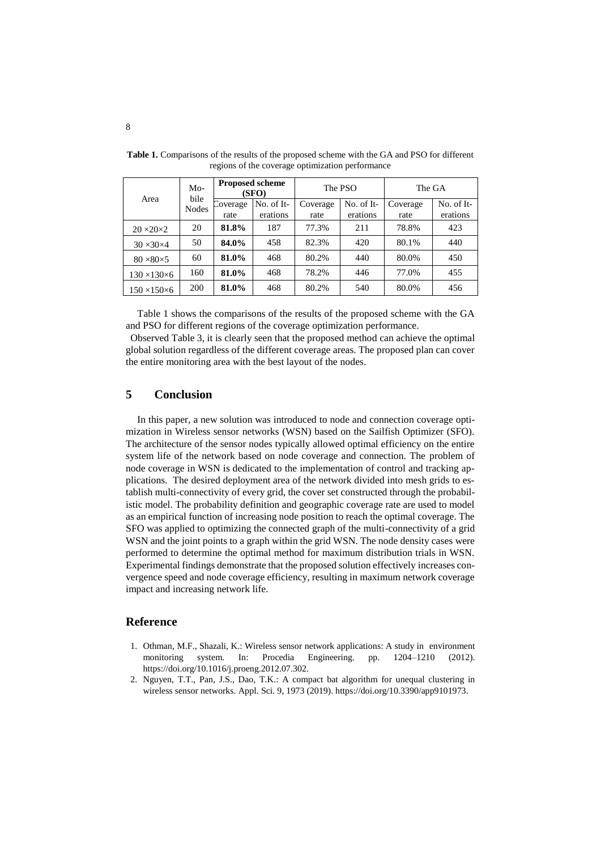| Area                      | $Mo-$<br>bile<br>Nodes | <b>Proposed scheme</b><br>(SFO) |                        | The PSO          |                        | The GA           |                        |
|---------------------------|------------------------|---------------------------------|------------------------|------------------|------------------------|------------------|------------------------|
|                           |                        | Coverage<br>rate                | No. of It-<br>erations | Coverage<br>rate | No. of It-<br>erations | Coverage<br>rate | No. of It-<br>erations |
| $20 \times 20 \times 2$   | 20                     | 81.8%                           | 187                    | 77.3%            | 211                    | 78.8%            | 423                    |
| $30 \times 30 \times 4$   | 50                     | 84.0%                           | 458                    | 82.3%            | 420                    | 80.1%            | 440                    |
| $80 \times 80 \times 5$   | 60                     | 81.0%                           | 468                    | 80.2%            | 440                    | 80.0%            | 450                    |
| $130 \times 130 \times 6$ | 160                    | 81.0%                           | 468                    | 78.2%            | 446                    | 77.0%            | 455                    |
| $150 \times 150 \times 6$ | 200                    | 81.0%                           | 468                    | 80.2%            | 540                    | 80.0%            | 456                    |

**Table 1.** Comparisons of the results of the proposed scheme with the GA and PSO for different regions of the coverage optimization performance

Table 1 shows the comparisons of the results of the proposed scheme with the GA and PSO for different regions of the coverage optimization performance.

Observed Table 3, it is clearly seen that the proposed method can achieve the optimal global solution regardless of the different coverage areas. The proposed plan can cover the entire monitoring area with the best layout of the nodes.

# **5 Conclusion**

In this paper, a new solution was introduced to node and connection coverage optimization in Wireless sensor networks (WSN) based on the Sailfish Optimizer (SFO). The architecture of the sensor nodes typically allowed optimal efficiency on the entire system life of the network based on node coverage and connection. The problem of node coverage in WSN is dedicated to the implementation of control and tracking applications. The desired deployment area of the network divided into mesh grids to establish multi-connectivity of every grid, the cover set constructed through the probabilistic model. The probability definition and geographic coverage rate are used to model as an empirical function of increasing node position to reach the optimal coverage. The SFO was applied to optimizing the connected graph of the multi-connectivity of a grid WSN and the joint points to a graph within the grid WSN. The node density cases were performed to determine the optimal method for maximum distribution trials in WSN. Experimental findings demonstrate that the proposed solution effectively increases convergence speed and node coverage efficiency, resulting in maximum network coverage impact and increasing network life.

#### **Reference**

- 1. Othman, M.F., Shazali, K.: Wireless sensor network applications: A study in environment monitoring system. In: Procedia Engineering. pp. 1204–1210 (2012). https://doi.org/10.1016/j.proeng.2012.07.302.
- 2. Nguyen, T.T., Pan, J.S., Dao, T.K.: A compact bat algorithm for unequal clustering in wireless sensor networks. Appl. Sci. 9, 1973 (2019). https://doi.org/10.3390/app9101973.